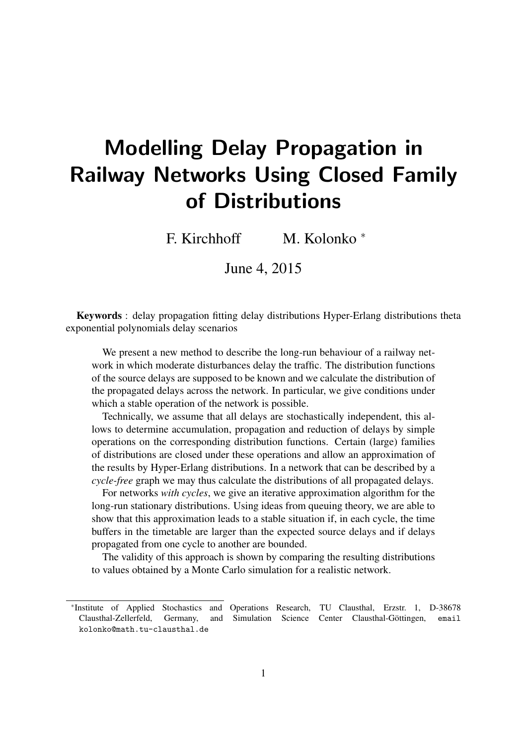# Modelling Delay Propagation in Railway Networks Using Closed Family of Distributions

F. Kirchhoff M. Kolonko <sup>∗</sup>

June 4, 2015

Keywords : delay propagation fitting delay distributions Hyper-Erlang distributions theta exponential polynomials delay scenarios

We present a new method to describe the long-run behaviour of a railway network in which moderate disturbances delay the traffic. The distribution functions of the source delays are supposed to be known and we calculate the distribution of the propagated delays across the network. In particular, we give conditions under which a stable operation of the network is possible.

Technically, we assume that all delays are stochastically independent, this allows to determine accumulation, propagation and reduction of delays by simple operations on the corresponding distribution functions. Certain (large) families of distributions are closed under these operations and allow an approximation of the results by Hyper-Erlang distributions. In a network that can be described by a *cycle-free* graph we may thus calculate the distributions of all propagated delays.

For networks *with cycles*, we give an iterative approximation algorithm for the long-run stationary distributions. Using ideas from queuing theory, we are able to show that this approximation leads to a stable situation if, in each cycle, the time buffers in the timetable are larger than the expected source delays and if delays propagated from one cycle to another are bounded.

The validity of this approach is shown by comparing the resulting distributions to values obtained by a Monte Carlo simulation for a realistic network.

<sup>∗</sup> Institute of Applied Stochastics and Operations Research, TU Clausthal, Erzstr. 1, D-38678 Clausthal-Zellerfeld, Germany, and Simulation Science Center Clausthal-Göttingen, email kolonko@math.tu-clausthal.de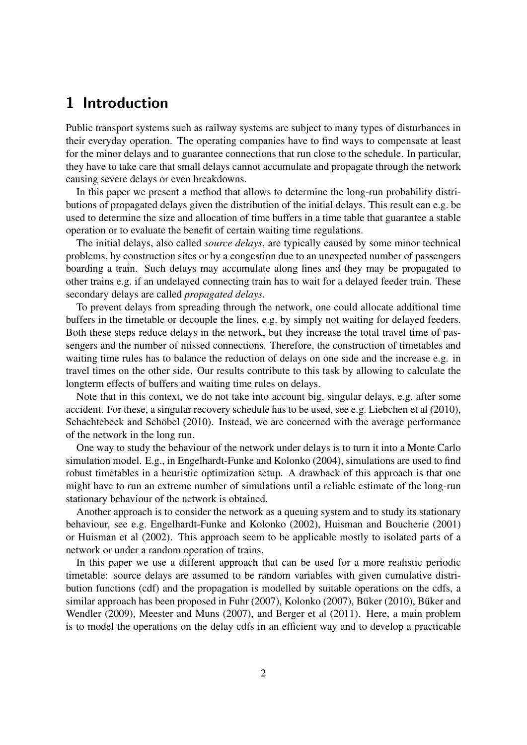## 1 Introduction

Public transport systems such as railway systems are subject to many types of disturbances in their everyday operation. The operating companies have to find ways to compensate at least for the minor delays and to guarantee connections that run close to the schedule. In particular, they have to take care that small delays cannot accumulate and propagate through the network causing severe delays or even breakdowns.

In this paper we present a method that allows to determine the long-run probability distributions of propagated delays given the distribution of the initial delays. This result can e.g. be used to determine the size and allocation of time buffers in a time table that guarantee a stable operation or to evaluate the benefit of certain waiting time regulations.

The initial delays, also called *source delays*, are typically caused by some minor technical problems, by construction sites or by a congestion due to an unexpected number of passengers boarding a train. Such delays may accumulate along lines and they may be propagated to other trains e.g. if an undelayed connecting train has to wait for a delayed feeder train. These secondary delays are called *propagated delays*.

To prevent delays from spreading through the network, one could allocate additional time buffers in the timetable or decouple the lines, e.g. by simply not waiting for delayed feeders. Both these steps reduce delays in the network, but they increase the total travel time of passengers and the number of missed connections. Therefore, the construction of timetables and waiting time rules has to balance the reduction of delays on one side and the increase e.g. in travel times on the other side. Our results contribute to this task by allowing to calculate the longterm effects of buffers and waiting time rules on delays.

Note that in this context, we do not take into account big, singular delays, e.g. after some accident. For these, a singular recovery schedule has to be used, see e.g. Liebchen et al (2010), Schachtebeck and Schöbel (2010). Instead, we are concerned with the average performance of the network in the long run.

One way to study the behaviour of the network under delays is to turn it into a Monte Carlo simulation model. E.g., in Engelhardt-Funke and Kolonko (2004), simulations are used to find robust timetables in a heuristic optimization setup. A drawback of this approach is that one might have to run an extreme number of simulations until a reliable estimate of the long-run stationary behaviour of the network is obtained.

Another approach is to consider the network as a queuing system and to study its stationary behaviour, see e.g. Engelhardt-Funke and Kolonko (2002), Huisman and Boucherie (2001) or Huisman et al (2002). This approach seem to be applicable mostly to isolated parts of a network or under a random operation of trains.

In this paper we use a different approach that can be used for a more realistic periodic timetable: source delays are assumed to be random variables with given cumulative distribution functions (cdf) and the propagation is modelled by suitable operations on the cdfs, a similar approach has been proposed in Fuhr (2007), Kolonko (2007), Büker (2010), Büker and Wendler (2009), Meester and Muns (2007), and Berger et al (2011). Here, a main problem is to model the operations on the delay cdfs in an efficient way and to develop a practicable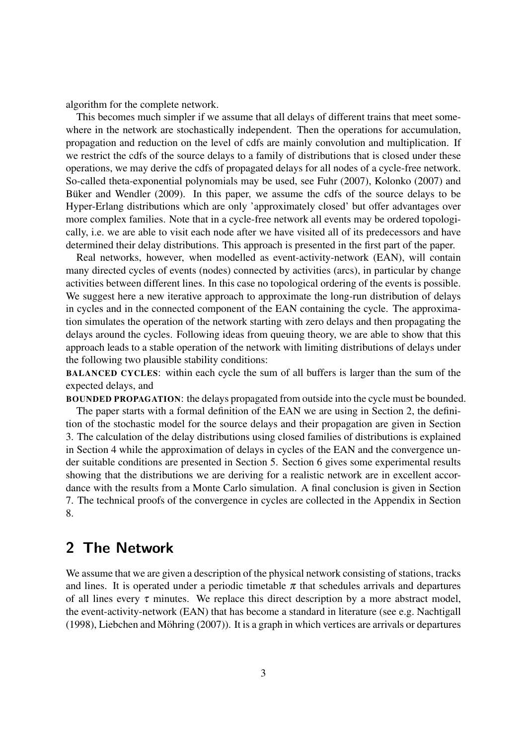algorithm for the complete network.

This becomes much simpler if we assume that all delays of different trains that meet somewhere in the network are stochastically independent. Then the operations for accumulation, propagation and reduction on the level of cdfs are mainly convolution and multiplication. If we restrict the cdfs of the source delays to a family of distributions that is closed under these operations, we may derive the cdfs of propagated delays for all nodes of a cycle-free network. So-called theta-exponential polynomials may be used, see Fuhr (2007), Kolonko (2007) and Buker and Wendler (2009). In this paper, we assume the cdfs of the source delays to be Hyper-Erlang distributions which are only 'approximately closed' but offer advantages over more complex families. Note that in a cycle-free network all events may be ordered topologically, i.e. we are able to visit each node after we have visited all of its predecessors and have determined their delay distributions. This approach is presented in the first part of the paper.

Real networks, however, when modelled as event-activity-network (EAN), will contain many directed cycles of events (nodes) connected by activities (arcs), in particular by change activities between different lines. In this case no topological ordering of the events is possible. We suggest here a new iterative approach to approximate the long-run distribution of delays in cycles and in the connected component of the EAN containing the cycle. The approximation simulates the operation of the network starting with zero delays and then propagating the delays around the cycles. Following ideas from queuing theory, we are able to show that this approach leads to a stable operation of the network with limiting distributions of delays under the following two plausible stability conditions:

BALANCED CYCLES: within each cycle the sum of all buffers is larger than the sum of the expected delays, and

BOUNDED PROPAGATION: the delays propagated from outside into the cycle must be bounded.

The paper starts with a formal definition of the EAN we are using in Section 2, the definition of the stochastic model for the source delays and their propagation are given in Section 3. The calculation of the delay distributions using closed families of distributions is explained in Section 4 while the approximation of delays in cycles of the EAN and the convergence under suitable conditions are presented in Section 5. Section 6 gives some experimental results showing that the distributions we are deriving for a realistic network are in excellent accordance with the results from a Monte Carlo simulation. A final conclusion is given in Section 7. The technical proofs of the convergence in cycles are collected in the Appendix in Section 8.

## 2 The Network

We assume that we are given a description of the physical network consisting of stations, tracks and lines. It is operated under a periodic timetable  $\pi$  that schedules arrivals and departures of all lines every  $\tau$  minutes. We replace this direct description by a more abstract model, the event-activity-network (EAN) that has become a standard in literature (see e.g. Nachtigall (1998), Liebchen and Möhring  $(2007)$ ). It is a graph in which vertices are arrivals or departures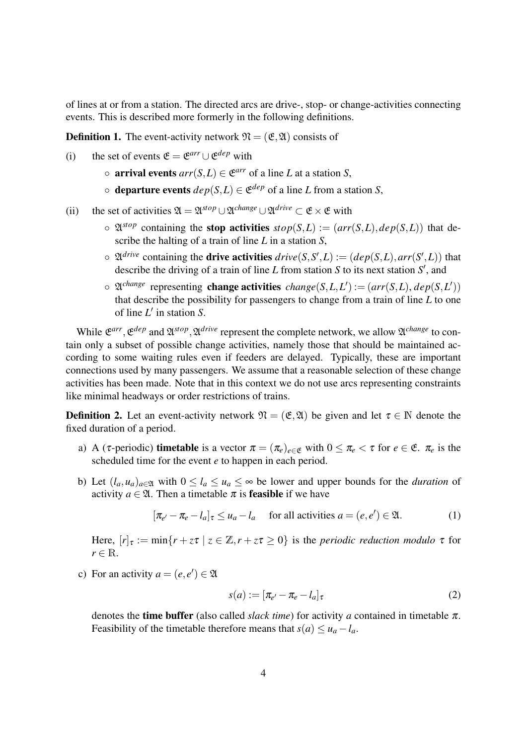of lines at or from a station. The directed arcs are drive-, stop- or change-activities connecting events. This is described more formerly in the following definitions.

**Definition 1.** The event-activity network  $\mathfrak{N} = (\mathfrak{E}, \mathfrak{A})$  consists of

- (i) the set of events  $\mathfrak{E} = \mathfrak{E}^{arr} \cup \mathfrak{E}^{dep}$  with
	- $\circ$  **arrival events**  $arr(S, L) \in \mathfrak{E}^{arr}$  of a line *L* at a station *S*,
	- $\circ$  **departure events**  $dep(S, L) \in \mathfrak{E}^{dep}$  of a line *L* from a station *S*,
- (ii) the set of activities  $\mathfrak{A} = \mathfrak{A}^{stop} \cup \mathfrak{A}^{change} \cup \mathfrak{A}^{drive} \subset \mathfrak{E} \times \mathfrak{E}$  with
	- $\circ \mathfrak{A}^{stop}$  containing the **stop activities**  $stop(S, L) := (arr(S, L), dep(S, L))$  that describe the halting of a train of line *L* in a station *S*,
	- $\circ$   $\mathfrak{A}^{drive}$  containing the **drive activities**  $drive(S, S', L) := (dep(S, L), arr(S', L))$  that describe the driving of a train of line  $L$  from station  $S$  to its next station  $S'$ , and
	- $\circ$   $\mathfrak{A}^{change}$  representing **change activities** *change*(*S*,*L*,*L*') := ( $arr(S, L)$ ,  $dep(S, L')$ ) that describe the possibility for passengers to change from a train of line *L* to one of line *L'* in station *S*.

While  $\mathfrak{E}^{arr}$ ,  $\mathfrak{E}^{dep}$  and  $\mathfrak{A}^{stop}$ ,  $\mathfrak{A}^{drive}$  represent the complete network, we allow  $\mathfrak{A}^{change}$  to contain only a subset of possible change activities, namely those that should be maintained according to some waiting rules even if feeders are delayed. Typically, these are important connections used by many passengers. We assume that a reasonable selection of these change activities has been made. Note that in this context we do not use arcs representing constraints like minimal headways or order restrictions of trains.

**Definition 2.** Let an event-activity network  $\mathfrak{N} = (\mathfrak{E}, \mathfrak{A})$  be given and let  $\tau \in \mathbb{N}$  denote the fixed duration of a period.

- a) A ( $\tau$ -periodic) **timetable** is a vector  $\pi = (\pi_e)_{e \in \mathfrak{E}}$  with  $0 \leq \pi_e < \tau$  for  $e \in \mathfrak{E}$ .  $\pi_e$  is the scheduled time for the event *e* to happen in each period.
- b) Let  $(l_a, u_a)_{a \in \mathfrak{A}}$  with  $0 \leq l_a \leq u_a \leq \infty$  be lower and upper bounds for the *duration* of activity  $a \in \mathfrak{A}$ . Then a timetable  $\pi$  is **feasible** if we have

$$
[\pi_{e'} - \pi_e - l_a]_{\tau} \le u_a - l_a \quad \text{for all activities } a = (e, e') \in \mathfrak{A}.
$$
 (1)

Here,  $[r]_{\tau} := \min\{r + z\tau \mid z \in \mathbb{Z}, r + z\tau \geq 0\}$  is the *periodic reduction modulo*  $\tau$  for  $r \in \mathbb{R}$ .

c) For an activity  $a = (e, e') \in \mathfrak{A}$ 

$$
s(a) := \left[\pi_{e'} - \pi_e - l_a\right]_{\tau}
$$
\n<sup>(2)</sup>

denotes the **time buffer** (also called *slack time*) for activity *a* contained in timetable  $\pi$ . Feasibility of the timetable therefore means that  $s(a) \le u_a - l_a$ .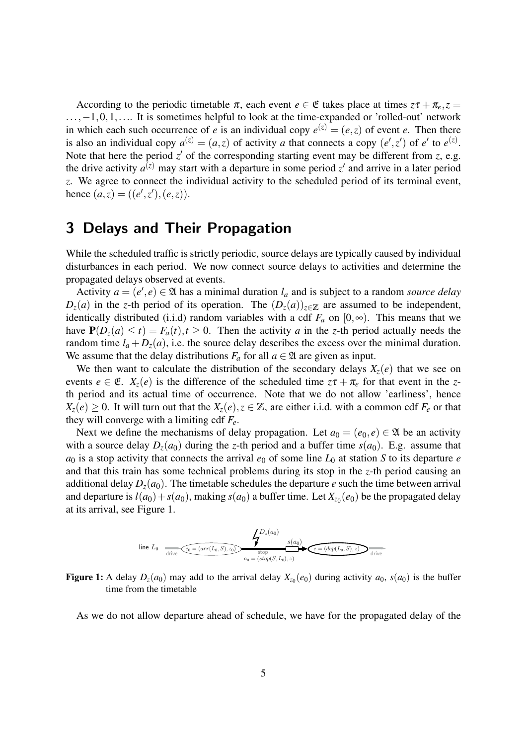According to the periodic timetable  $\pi$ , each event  $e \in \mathfrak{E}$  takes place at times  $z\tau + \pi_e$ ,  $z =$  $..., -1, 0, 1, ...$  It is sometimes helpful to look at the time-expanded or 'rolled-out' network in which each such occurrence of *e* is an individual copy  $e^{(z)} = (e, z)$  of event *e*. Then there is also an individual copy  $a^{(z)} = (a, z)$  of activity *a* that connects a copy  $(e', z')$  of  $e'$  to  $e^{(z)}$ . Note that here the period  $z'$  of the corresponding starting event may be different from  $z$ , e.g. the drive activity  $a^{(z)}$  may start with a departure in some period  $z'$  and arrive in a later period *z*. We agree to connect the individual activity to the scheduled period of its terminal event, hence  $(a, z) = ((e', z'), (e, z)).$ 

# 3 Delays and Their Propagation

While the scheduled traffic is strictly periodic, source delays are typically caused by individual disturbances in each period. We now connect source delays to activities and determine the propagated delays observed at events.

Activity  $a = (e', e) \in \mathfrak{A}$  has a minimal duration  $l_a$  and is subject to a random *source delay*  $D_z(a)$  in the *z*-th period of its operation. The  $(D_z(a))_{z \in \mathbb{Z}}$  are assumed to be independent, identically distributed (i.i.d) random variables with a cdf  $F_a$  on  $[0, \infty)$ . This means that we have  $P(D_z(a) \le t) = F_a(t), t \ge 0$ . Then the activity *a* in the *z*-th period actually needs the random time  $l_a + D_z(a)$ , i.e. the source delay describes the excess over the minimal duration. We assume that the delay distributions  $F_a$  for all  $a \in \mathfrak{A}$  are given as input.

We then want to calculate the distribution of the secondary delays  $X_z(e)$  that we see on events  $e \in \mathfrak{E}$ .  $X_{\mathfrak{z}}(e)$  is the difference of the scheduled time  $z\tau + \pi_e$  for that event in the *z*th period and its actual time of occurrence. Note that we do not allow 'earliness', hence  $X_z(e) \geq 0$ . It will turn out that the  $X_z(e), z \in \mathbb{Z}$ , are either i.i.d. with a common cdf  $F_e$  or that they will converge with a limiting cdf *Fe*.

Next we define the mechanisms of delay propagation. Let  $a_0 = (e_0, e) \in \mathfrak{A}$  be an activity with a source delay  $D_z(a_0)$  during the *z*-th period and a buffer time  $s(a_0)$ . E.g. assume that  $a_0$  is a stop activity that connects the arrival  $e_0$  of some line  $L_0$  at station *S* to its departure *e* and that this train has some technical problems during its stop in the *z*-th period causing an additional delay  $D_z(a_0)$ . The timetable schedules the departure *e* such the time between arrival and departure is  $l(a_0) + s(a_0)$ , making  $s(a_0)$  a buffer time. Let  $X_{z_0}(e_0)$  be the propagated delay at its arrival, see Figure 1.

line 
$$
L_0
$$
  $L_0$   $L_0$   $L_0$   $L_1$   $L_1$   $L_2$   $L_3$   $L_4$   $L_5$   $L_6$   $L_1$   $L_2$   $L_3$   $L_4$   $L_5$   $L_6$   $L_7$   $L_8$   $L_9$   $L_9$   $L_9$   $L_1$   $L_2$   $L_3$   $L_4$   $L_5$   $L_6$   $L_7$   $L_8$   $L_9$   $L_9$   $L_9$   $L_9$   $L_9$   $L_9$   $L_9$   $L_9$   $L_9$   $L_9$   $L_9$   $L_9$   $L_9$   $L_9$   $L_9$   $L_9$   $L_9$   $L_9$   $L_9$   $L_9$   $L_9$   $L_9$   $L_9$   $L_9$   $L_9$   $L_9$   $L_9$   $L_9$   $L_9$   $L_9$   $L_9$   $L_9$   $L_9$   $L_9$   $L_9$   $L_9$   $L_9$   $L_9$   $L_9$   $L_9$   $L_9$   $L_9$   $L_9$   $L_9$   $L_9$   $L_9$   $L_9$   $L_9$   $L_9$   $L_9$   $L_9$   $L_9$   $L_9$   $L_9$   $L_9$   $L_9$   $L_9$   $L_9$   $L_9$   $L_9$   $L_9$   $L_9$   $L_9$   $L_9$   $L_9$   $L_$ 

Figure 1: A delay  $D_z(a_0)$  may add to the arrival delay  $X_{z_0}(e_0)$  during activity  $a_0$ ,  $s(a_0)$  is the buffer time from the timetable

As we do not allow departure ahead of schedule, we have for the propagated delay of the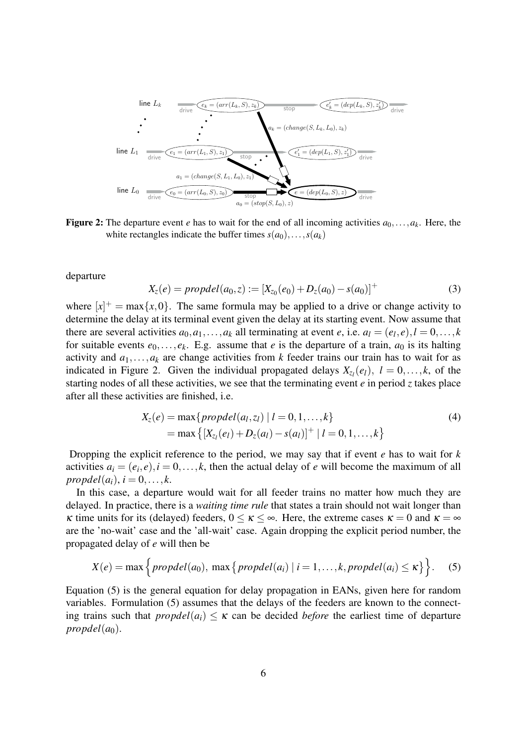

**Figure 2:** The departure event *e* has to wait for the end of all incoming activities  $a_0, \ldots, a_k$ . Here, the white rectangles indicate the buffer times  $s(a_0), \ldots, s(a_k)$ 

departure

$$
X_z(e) = propdel(a_0, z) := [X_{z_0}(e_0) + D_z(a_0) - s(a_0)]^+
$$
\n(3)

where  $[x]^+$  = max $\{x, 0\}$ . The same formula may be applied to a drive or change activity to determine the delay at its terminal event given the delay at its starting event. Now assume that there are several activities  $a_0, a_1, \ldots, a_k$  all terminating at event *e*, i.e.  $a_l = (e_l, e), l = 0, \ldots, k$ for suitable events  $e_0, \ldots, e_k$ . E.g. assume that *e* is the departure of a train,  $a_0$  is its halting activity and  $a_1, \ldots, a_k$  are change activities from *k* feeder trains our train has to wait for as indicated in Figure 2. Given the individual propagated delays  $X_{z_l}(e_l)$ ,  $l = 0, \ldots, k$ , of the starting nodes of all these activities, we see that the terminating event *e* in period *z* takes place after all these activities are finished, i.e.

$$
X_z(e) = \max\{propdel(a_l, z_l) | l = 0, 1, ..., k\}
$$
  
= max {[X<sub>z\_l</sub>(e\_l) + D<sub>z</sub>(a\_l) - s(a\_l)]<sup>+</sup> | l = 0, 1, ..., k} (4)

Dropping the explicit reference to the period, we may say that if event *e* has to wait for *k* activities  $a_i = (e_i, e), i = 0, \dots, k$ , then the actual delay of *e* will become the maximum of all  $propdel(a_i), i = 0, \ldots, k.$ 

In this case, a departure would wait for all feeder trains no matter how much they are delayed. In practice, there is a *waiting time rule* that states a train should not wait longer than κ time units for its (delayed) feeders,  $0 \le \kappa \le \infty$ . Here, the extreme cases  $\kappa = 0$  and  $\kappa = \infty$ are the 'no-wait' case and the 'all-wait' case. Again dropping the explicit period number, the propagated delay of *e* will then be

$$
X(e) = \max\Big\{ \text{propled}(a_0), \max\big\{ \text{propled}(a_i) \mid i = 1,\ldots,k, \text{propled}(a_i) \leq \kappa \big\} \Big\}. \tag{5}
$$

Equation (5) is the general equation for delay propagation in EANs, given here for random variables. Formulation (5) assumes that the delays of the feeders are known to the connecting trains such that  $\text{propled}(a_i) \leq \kappa$  can be decided *before* the earliest time of departure  $propled(a<sub>0</sub>)$ .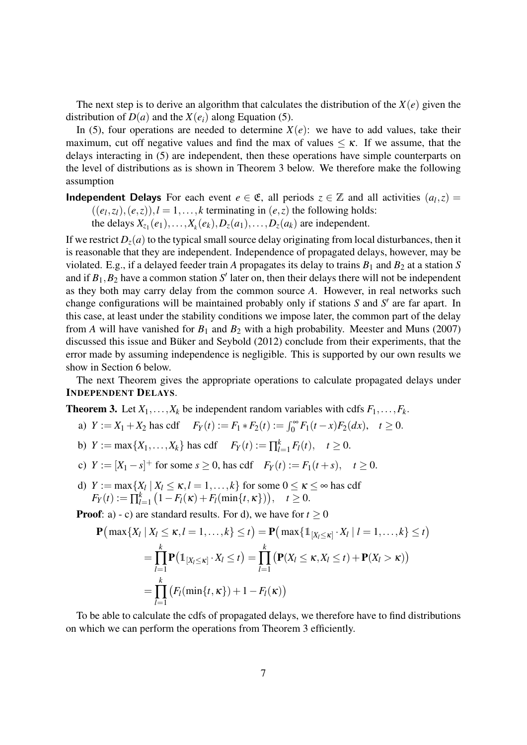The next step is to derive an algorithm that calculates the distribution of the *X*(*e*) given the distribution of  $D(a)$  and the  $X(e_i)$  along Equation (5).

In (5), four operations are needed to determine  $X(e)$ : we have to add values, take their maximum, cut off negative values and find the max of values  $\leq \kappa$ . If we assume, that the delays interacting in (5) are independent, then these operations have simple counterparts on the level of distributions as is shown in Theorem 3 below. We therefore make the following assumption

**Independent Delays** For each event  $e \in \mathfrak{E}$ , all periods  $z \in \mathbb{Z}$  and all activities  $(a_l, z)$  $((e_l, z_l), (e, z)), l = 1, \ldots, k$  terminating in  $(e, z)$  the following holds: the delays  $X_{z_1}(e_1),...,X_k(e_k),D_z(a_1),...,D_z(a_k)$  are independent.

If we restrict  $D_z(a)$  to the typical small source delay originating from local disturbances, then it is reasonable that they are independent. Independence of propagated delays, however, may be violated. E.g., if a delayed feeder train *A* propagates its delay to trains  $B_1$  and  $B_2$  at a station *S* and if  $B_1$ ,  $B_2$  have a common station  $S'$  later on, then their delays there will not be independent as they both may carry delay from the common source *A*. However, in real networks such change configurations will be maintained probably only if stations *S* and *S'* are far apart. In this case, at least under the stability conditions we impose later, the common part of the delay from *A* will have vanished for  $B_1$  and  $B_2$  with a high probability. Meester and Muns (2007) discussed this issue and Büker and Seybold (2012) conclude from their experiments, that the error made by assuming independence is negligible. This is supported by our own results we show in Section 6 below.

The next Theorem gives the appropriate operations to calculate propagated delays under INDEPENDENT DELAYS.

**Theorem 3.** Let  $X_1, \ldots, X_k$  be independent random variables with cdfs  $F_1, \ldots, F_k$ .

- a)  $Y := X_1 + X_2$  has cdf  $F_Y(t) := F_1 * F_2(t) := \int_0^\infty F_1(t x) F_2(dx), \quad t \ge 0.$
- b)  $Y := \max\{X_1, \ldots, X_k\}$  has cdf  $F_Y(t) := \prod_{l=1}^k F_l(t), \quad t \ge 0.$
- c)  $Y := [X_1 s]^+$  for some  $s \ge 0$ , has cdf  $F_Y(t) := F_1(t + s)$ ,  $t \ge 0$ .
- d)  $Y := \max\{X_l | X_l \le \kappa, l = 1, ..., k\}$  for some  $0 \le \kappa \le \infty$  has cdf  $F_Y(t) := \prod_{l}^k$  $\binom{k}{l=1} (1 - F_l(\kappa) + F_l(\min\{t, \kappa\}))$ ,  $t \ge 0$ .

**Proof**: a) - c) are standard results. For d), we have for  $t \ge 0$ 

$$
\mathbf{P}\big(\max\{X_l \mid X_l \leq \kappa, l = 1, ..., k\} \leq t\big) = \mathbf{P}\big(\max\{1_{[X_l \leq \kappa]} \cdot X_l \mid l = 1, ..., k\} \leq t\big) \n= \prod_{l=1}^k \mathbf{P}\big(1_{[X_l \leq \kappa]} \cdot X_l \leq t\big) = \prod_{l=1}^k \big(\mathbf{P}(X_l \leq \kappa, X_l \leq t) + \mathbf{P}(X_l > \kappa)\big) \n= \prod_{l=1}^k \big(F_l(\min\{t, \kappa\}) + 1 - F_l(\kappa)\big)
$$

To be able to calculate the cdfs of propagated delays, we therefore have to find distributions on which we can perform the operations from Theorem 3 efficiently.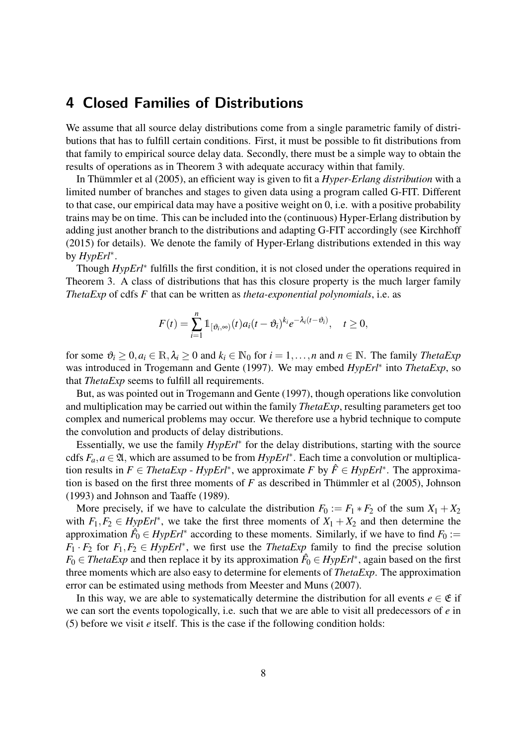## 4 Closed Families of Distributions

We assume that all source delay distributions come from a single parametric family of distributions that has to fulfill certain conditions. First, it must be possible to fit distributions from that family to empirical source delay data. Secondly, there must be a simple way to obtain the results of operations as in Theorem 3 with adequate accuracy within that family.

In Thummler et al (2005), an efficient way is given to fit a *Hyper-Erlang distribution* with a limited number of branches and stages to given data using a program called G-FIT. Different to that case, our empirical data may have a positive weight on 0, i.e. with a positive probability trains may be on time. This can be included into the (continuous) Hyper-Erlang distribution by adding just another branch to the distributions and adapting G-FIT accordingly (see Kirchhoff (2015) for details). We denote the family of Hyper-Erlang distributions extended in this way by *HypErl*<sup>∗</sup> .

Though *HypErl*<sup>\*</sup> fulfills the first condition, it is not closed under the operations required in Theorem 3. A class of distributions that has this closure property is the much larger family *ThetaExp* of cdfs *F* that can be written as *theta-exponential polynomials*, i.e. as

$$
F(t) = \sum_{i=1}^n \mathbb{1}_{\left[\vartheta_i, \infty\right)}(t) a_i (t - \vartheta_i)^{k_i} e^{-\lambda_i (t - \vartheta_i)}, \quad t \ge 0,
$$

for some  $\vartheta_i \geq 0, a_i \in \mathbb{R}, \lambda_i \geq 0$  and  $k_i \in \mathbb{N}_0$  for  $i = 1, \ldots, n$  and  $n \in \mathbb{N}$ . The family *ThetaExp* was introduced in Trogemann and Gente (1997). We may embed *HypErl*<sup>∗</sup> into *ThetaExp*, so that *ThetaExp* seems to fulfill all requirements.

But, as was pointed out in Trogemann and Gente (1997), though operations like convolution and multiplication may be carried out within the family *ThetaExp*, resulting parameters get too complex and numerical problems may occur. We therefore use a hybrid technique to compute the convolution and products of delay distributions.

Essentially, we use the family *HypErl*<sup>∗</sup> for the delay distributions, starting with the source cdfs  $F_a$ ,  $a \in \mathfrak{A}$ , which are assumed to be from  $HypErl^*$ . Each time a convolution or multiplication results in  $F \in \text{ThetaExp - HypErl}^*$ , we approximate *F* by  $\hat{F} \in HypErl^*$ . The approximation is based on the first three moments of  $F$  as described in Thümmler et al (2005), Johnson (1993) and Johnson and Taaffe (1989).

More precisely, if we have to calculate the distribution  $F_0 := F_1 * F_2$  of the sum  $X_1 + X_2$ with  $F_1, F_2 \in HypErl^*$ , we take the first three moments of  $X_1 + X_2$  and then determine the approximation  $\hat{F}_0 \in HypErl^*$  according to these moments. Similarly, if we have to find  $F_0 :=$  $F_1 \cdot F_2$  for  $F_1, F_2 \in HypErl^*$ , we first use the *ThetaExp* family to find the precise solution  $F_0 \in \text{ThetaExp}$  and then replace it by its approximation  $\hat{F_0} \in \text{HypErl}^*$ , again based on the first three moments which are also easy to determine for elements of *ThetaExp*. The approximation error can be estimated using methods from Meester and Muns (2007).

In this way, we are able to systematically determine the distribution for all events  $e \in \mathfrak{E}$  if we can sort the events topologically, i.e. such that we are able to visit all predecessors of *e* in (5) before we visit *e* itself. This is the case if the following condition holds: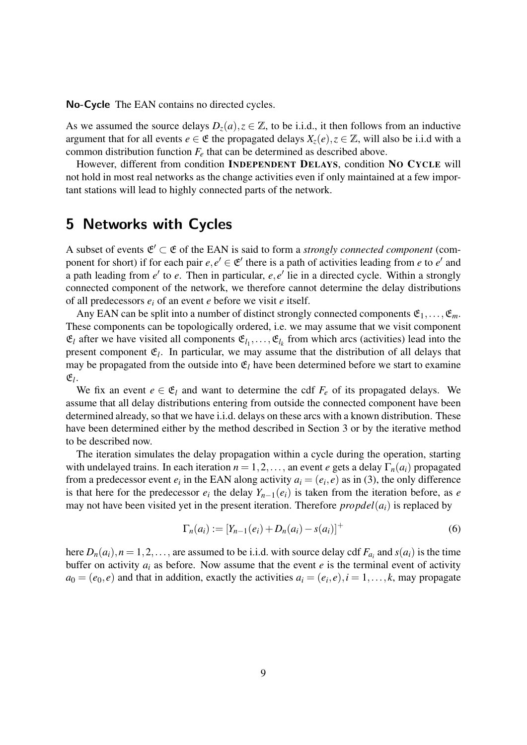No-Cycle The EAN contains no directed cycles.

As we assumed the source delays  $D_z(a), z \in \mathbb{Z}$ , to be i.i.d., it then follows from an inductive argument that for all events  $e \in \mathfrak{E}$  the propagated delays  $X_z(e), z \in \mathbb{Z}$ , will also be i.i.d with a common distribution function  $F_e$  that can be determined as described above.

However, different from condition INDEPENDENT DELAYS, condition NO CYCLE will not hold in most real networks as the change activities even if only maintained at a few important stations will lead to highly connected parts of the network.

## 5 Networks with Cycles

A subset of events  $\mathfrak{E}' \subset \mathfrak{E}$  of the EAN is said to form a *strongly connected component* (component for short) if for each pair  $e, e' \in \mathfrak{E}'$  there is a path of activities leading from *e* to *e'* and a path leading from *e'* to *e*. Then in particular, *e*, *e'* lie in a directed cycle. Within a strongly connected component of the network, we therefore cannot determine the delay distributions of all predecessors *e<sup>i</sup>* of an event *e* before we visit *e* itself.

Any EAN can be split into a number of distinct strongly connected components  $\mathfrak{E}_1,\ldots,\mathfrak{E}_m$ . These components can be topologically ordered, i.e. we may assume that we visit component  $\mathfrak{E}_l$  after we have visited all components  $\mathfrak{E}_{l_1}, \ldots, \mathfrak{E}_{l_k}$  from which arcs (activities) lead into the present component  $\mathfrak{E}_l$ . In particular, we may assume that the distribution of all delays that may be propagated from the outside into  $\mathfrak{E}_l$  have been determined before we start to examine  $\mathfrak{E}_l$ .

We fix an event  $e \in \mathfrak{E}_l$  and want to determine the cdf  $F_e$  of its propagated delays. We assume that all delay distributions entering from outside the connected component have been determined already, so that we have i.i.d. delays on these arcs with a known distribution. These have been determined either by the method described in Section 3 or by the iterative method to be described now.

The iteration simulates the delay propagation within a cycle during the operation, starting with undelayed trains. In each iteration  $n = 1, 2, \ldots$ , an event *e* gets a delay  $\Gamma_n(a_i)$  propagated from a predecessor event  $e_i$  in the EAN along activity  $a_i = (e_i, e)$  as in (3), the only difference is that here for the predecessor  $e_i$  the delay  $Y_{n-1}(e_i)$  is taken from the iteration before, as *e* may not have been visited yet in the present iteration. Therefore  $propled(a<sub>i</sub>)$  is replaced by

$$
\Gamma_n(a_i) := [Y_{n-1}(e_i) + D_n(a_i) - s(a_i)]^+
$$
\n(6)

here  $D_n(a_i)$ ,  $n = 1, 2, \ldots$ , are assumed to be i.i.d. with source delay cdf  $F_{a_i}$  and  $s(a_i)$  is the time buffer on activity  $a_i$  as before. Now assume that the event  $e$  is the terminal event of activity  $a_0 = (e_0, e)$  and that in addition, exactly the activities  $a_i = (e_i, e), i = 1, \dots, k$ , may propagate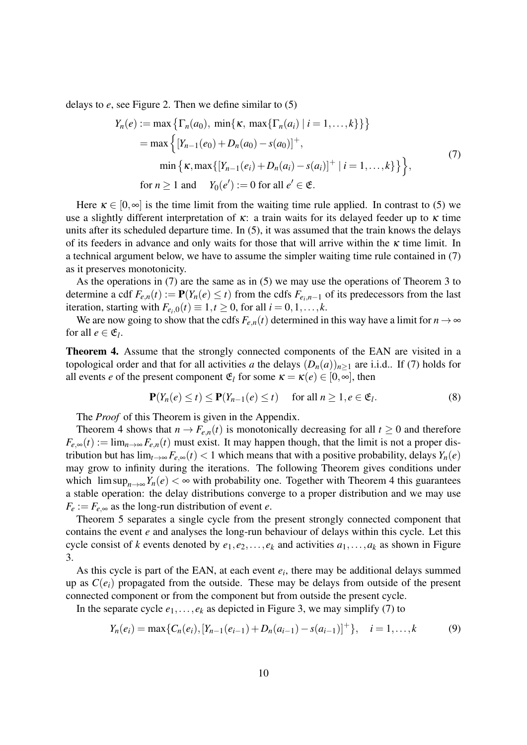delays to *e*, see Figure 2. Then we define similar to (5)

$$
Y_n(e) := \max \left\{ \Gamma_n(a_0), \min\{\kappa, \max\{\Gamma_n(a_i) \mid i = 1, ..., k\}\} \right\}
$$
  
= max  $\left\{ [Y_{n-1}(e_0) + D_n(a_0) - s(a_0)]^+, \right\}$   
min  $\left\{ \kappa, \max\{ [Y_{n-1}(e_i) + D_n(a_i) - s(a_i)]^+ \mid i = 1, ..., k \} \right\}$ ,  
for  $n \ge 1$  and  $Y_0(e') := 0$  for all  $e' \in \mathfrak{E}$ . (7)

Here  $\kappa \in [0, \infty]$  is the time limit from the waiting time rule applied. In contrast to (5) we use a slightly different interpretation of  $\kappa$ : a train waits for its delayed feeder up to  $\kappa$  time units after its scheduled departure time. In (5), it was assumed that the train knows the delays of its feeders in advance and only waits for those that will arrive within the  $\kappa$  time limit. In a technical argument below, we have to assume the simpler waiting time rule contained in (7) as it preserves monotonicity.

As the operations in (7) are the same as in (5) we may use the operations of Theorem 3 to determine a cdf  $F_{e,n}(t) := \mathbf{P}(Y_n(e) \le t)$  from the cdfs  $F_{e_i,n-1}$  of its predecessors from the last iteration, starting with  $F_{e_i,0}(t) \equiv 1, t \ge 0$ , for all  $i = 0, 1, \ldots, k$ .

We are now going to show that the cdfs  $F_{e,n}(t)$  determined in this way have a limit for  $n \to \infty$ for all  $e \in \mathfrak{E}_l$ .

Theorem 4. Assume that the strongly connected components of the EAN are visited in a topological order and that for all activities *a* the delays  $(D_n(a))_{n>1}$  are i.i.d.. If (7) holds for all events *e* of the present component  $\mathfrak{E}_l$  for some  $\kappa = \kappa(e) \in [0, \infty]$ , then

$$
\mathbf{P}(Y_n(e) \le t) \le \mathbf{P}(Y_{n-1}(e) \le t) \quad \text{ for all } n \ge 1, e \in \mathfrak{E}_l. \tag{8}
$$

The *Proof* of this Theorem is given in the Appendix.

Theorem 4 shows that  $n \to F_{e,n}(t)$  is monotonically decreasing for all  $t \geq 0$  and therefore  $F_{e,\infty}(t) := \lim_{n \to \infty} F_{e,n}(t)$  must exist. It may happen though, that the limit is not a proper distribution but has  $\lim_{t\to\infty} F_{e,\infty}(t) < 1$  which means that with a positive probability, delays  $Y_n(e)$ may grow to infinity during the iterations. The following Theorem gives conditions under which  $\limsup_{n\to\infty} Y_n(e) < \infty$  with probability one. Together with Theorem 4 this guarantees a stable operation: the delay distributions converge to a proper distribution and we may use  $F_e := F_{e, \infty}$  as the long-run distribution of event *e*.

Theorem 5 separates a single cycle from the present strongly connected component that contains the event *e* and analyses the long-run behaviour of delays within this cycle. Let this cycle consist of *k* events denoted by  $e_1, e_2, \ldots, e_k$  and activities  $a_1, \ldots, a_k$  as shown in Figure 3.

As this cycle is part of the EAN, at each event  $e_i$ , there may be additional delays summed up as  $C(e_i)$  propagated from the outside. These may be delays from outside of the present connected component or from the component but from outside the present cycle.

In the separate cycle  $e_1, \ldots, e_k$  as depicted in Figure 3, we may simplify (7) to

$$
Y_n(e_i) = \max\{C_n(e_i), [Y_{n-1}(e_{i-1}) + D_n(a_{i-1}) - s(a_{i-1})]^+\}, \quad i = 1, \dots, k
$$
 (9)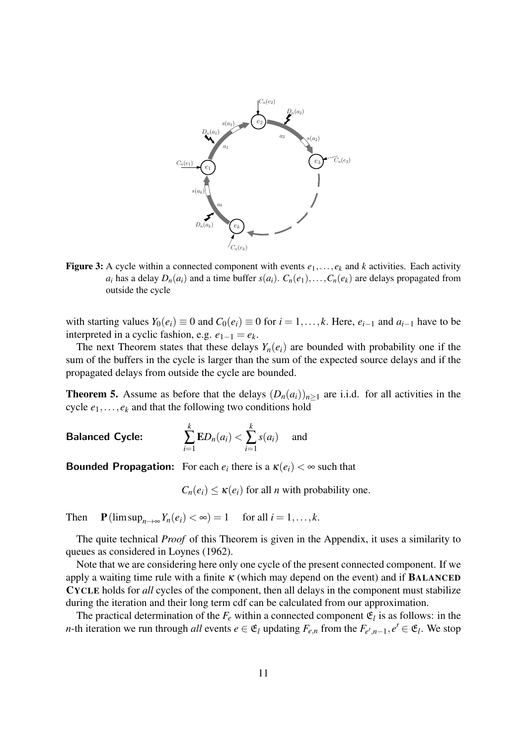

Figure 3: A cycle within a connected component with events  $e_1, \ldots, e_k$  and *k* activities. Each activity *a*<sub>*i*</sub> has a delay  $D_n(a_i)$  and a time buffer  $s(a_i)$ .  $C_n(e_1), \ldots, C_n(e_k)$  are delays propagated from outside the cycle

with starting values  $Y_0(e_i) \equiv 0$  and  $C_0(e_i) \equiv 0$  for  $i = 1, \ldots, k$ . Here,  $e_{i-1}$  and  $a_{i-1}$  have to be interpreted in a cyclic fashion, e.g.  $e_{1-1} = e_k$ .

The next Theorem states that these delays  $Y_n(e_i)$  are bounded with probability one if the sum of the buffers in the cycle is larger than the sum of the expected source delays and if the propagated delays from outside the cycle are bounded.

**Theorem 5.** Assume as before that the delays  $(D_n(a_i))_{n>1}$  are i.i.d. for all activities in the cycle  $e_1, \ldots, e_k$  and that the following two conditions hold

Balanced Cycle: *k*  $\sum_{i=1}$  $ED_n(a_i)$  < *k*  $\sum_{i=1}$  $s(a_i)$  and

**Bounded Propagation:** For each  $e_i$  there is a  $\kappa(e_i) < \infty$  such that

 $C_n(e_i) \leq \kappa(e_i)$  for all *n* with probability one.

Then  $\mathbf{P}(\limsup_{n\to\infty}Y_n(e_i)<\infty)=1$  for all  $i=1,\ldots,k$ .

The quite technical *Proof* of this Theorem is given in the Appendix, it uses a similarity to queues as considered in Loynes (1962).

Note that we are considering here only one cycle of the present connected component. If we apply a waiting time rule with a finite  $\kappa$  (which may depend on the event) and if **BALANCED** CYCLE holds for *all* cycles of the component, then all delays in the component must stabilize during the iteration and their long term cdf can be calculated from our approximation.

The practical determination of the  $F_e$  within a connected component  $\mathfrak{E}_l$  is as follows: in the *n*-th iteration we run through *all* events  $e \in \mathfrak{E}_l$  updating  $F_{e,n}$  from the  $F_{e',n-1}, e' \in \mathfrak{E}_l$ . We stop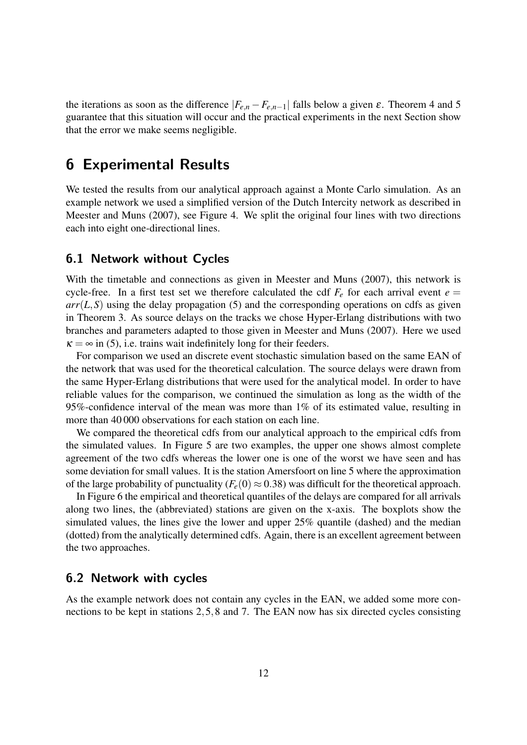the iterations as soon as the difference  $|F_{e,n} - F_{e,n-1}|$  falls below a given  $\varepsilon$ . Theorem 4 and 5 guarantee that this situation will occur and the practical experiments in the next Section show that the error we make seems negligible.

# 6 Experimental Results

We tested the results from our analytical approach against a Monte Carlo simulation. As an example network we used a simplified version of the Dutch Intercity network as described in Meester and Muns (2007), see Figure 4. We split the original four lines with two directions each into eight one-directional lines.

#### 6.1 Network without Cycles

With the timetable and connections as given in Meester and Muns (2007), this network is cycle-free. In a first test set we therefore calculated the cdf  $F_e$  for each arrival event  $e =$  $arr(L, S)$  using the delay propagation (5) and the corresponding operations on cdfs as given in Theorem 3. As source delays on the tracks we chose Hyper-Erlang distributions with two branches and parameters adapted to those given in Meester and Muns (2007). Here we used  $\kappa = \infty$  in (5), i.e. trains wait indefinitely long for their feeders.

For comparison we used an discrete event stochastic simulation based on the same EAN of the network that was used for the theoretical calculation. The source delays were drawn from the same Hyper-Erlang distributions that were used for the analytical model. In order to have reliable values for the comparison, we continued the simulation as long as the width of the 95%-confidence interval of the mean was more than 1% of its estimated value, resulting in more than 40 000 observations for each station on each line.

We compared the theoretical cdfs from our analytical approach to the empirical cdfs from the simulated values. In Figure 5 are two examples, the upper one shows almost complete agreement of the two cdfs whereas the lower one is one of the worst we have seen and has some deviation for small values. It is the station Amersfoort on line 5 where the approximation of the large probability of punctuality  $(F_e(0) \approx 0.38)$  was difficult for the theoretical approach.

In Figure 6 the empirical and theoretical quantiles of the delays are compared for all arrivals along two lines, the (abbreviated) stations are given on the x-axis. The boxplots show the simulated values, the lines give the lower and upper 25% quantile (dashed) and the median (dotted) from the analytically determined cdfs. Again, there is an excellent agreement between the two approaches.

#### 6.2 Network with cycles

As the example network does not contain any cycles in the EAN, we added some more connections to be kept in stations 2,5,8 and 7. The EAN now has six directed cycles consisting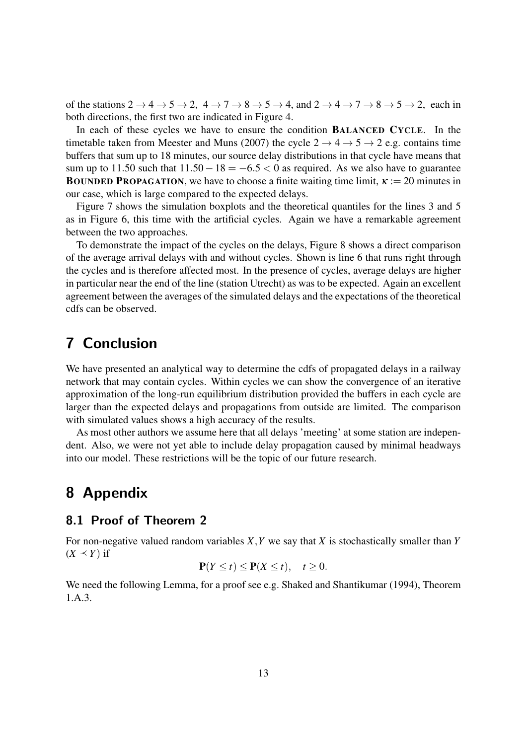of the stations  $2 \rightarrow 4 \rightarrow 5 \rightarrow 2$ ,  $4 \rightarrow 7 \rightarrow 8 \rightarrow 5 \rightarrow 4$ , and  $2 \rightarrow 4 \rightarrow 7 \rightarrow 8 \rightarrow 5 \rightarrow 2$ , each in both directions, the first two are indicated in Figure 4.

In each of these cycles we have to ensure the condition BALANCED CYCLE. In the timetable taken from Meester and Muns (2007) the cycle  $2 \rightarrow 4 \rightarrow 5 \rightarrow 2$  e.g. contains time buffers that sum up to 18 minutes, our source delay distributions in that cycle have means that sum up to 11.50 such that  $11.50 - 18 = -6.5 < 0$  as required. As we also have to guarantee **BOUNDED PROPAGATION, we have to choose a finite waiting time limit,**  $\kappa := 20$  **minutes in** our case, which is large compared to the expected delays.

Figure 7 shows the simulation boxplots and the theoretical quantiles for the lines 3 and 5 as in Figure 6, this time with the artificial cycles. Again we have a remarkable agreement between the two approaches.

To demonstrate the impact of the cycles on the delays, Figure 8 shows a direct comparison of the average arrival delays with and without cycles. Shown is line 6 that runs right through the cycles and is therefore affected most. In the presence of cycles, average delays are higher in particular near the end of the line (station Utrecht) as was to be expected. Again an excellent agreement between the averages of the simulated delays and the expectations of the theoretical cdfs can be observed.

# 7 Conclusion

We have presented an analytical way to determine the cdfs of propagated delays in a railway network that may contain cycles. Within cycles we can show the convergence of an iterative approximation of the long-run equilibrium distribution provided the buffers in each cycle are larger than the expected delays and propagations from outside are limited. The comparison with simulated values shows a high accuracy of the results.

As most other authors we assume here that all delays 'meeting' at some station are independent. Also, we were not yet able to include delay propagation caused by minimal headways into our model. These restrictions will be the topic of our future research.

# 8 Appendix

#### 8.1 Proof of Theorem 2

For non-negative valued random variables *X*,*Y* we say that *X* is stochastically smaller than *Y*  $(X \preceq Y)$  if

$$
\mathbf{P}(Y \le t) \le \mathbf{P}(X \le t), \quad t \ge 0.
$$

We need the following Lemma, for a proof see e.g. Shaked and Shantikumar (1994), Theorem 1.A.3.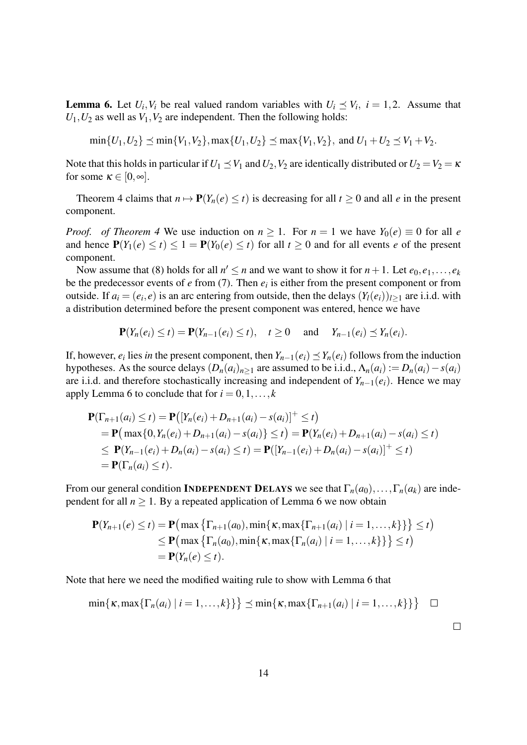**Lemma 6.** Let  $U_i$ ,  $V_i$  be real valued random variables with  $U_i \leq V_i$ ,  $i = 1, 2$ . Assume that  $U_1, U_2$  as well as  $V_1, V_2$  are independent. Then the following holds:

 $\min\{U_1, U_2\} \prec \min\{V_1, V_2\}, \max\{U_1, U_2\} \prec \max\{V_1, V_2\}, \text{ and } U_1 + U_2 \prec V_1 + V_2.$ 

Note that this holds in particular if  $U_1 \leq V_1$  and  $U_2$ ,  $V_2$  are identically distributed or  $U_2 = V_2 = \kappa$ for some  $\kappa \in [0, \infty]$ .

Theorem 4 claims that  $n \mapsto P(Y_n(e) \le t)$  is decreasing for all  $t \ge 0$  and all *e* in the present component.

*Proof. of Theorem 4* We use induction on  $n \ge 1$ . For  $n = 1$  we have  $Y_0(e) \equiv 0$  for all *e* and hence  $P(Y_1(e) \le t) \le 1 = P(Y_0(e) \le t)$  for all  $t \ge 0$  and for all events *e* of the present component.

Now assume that (8) holds for all  $n' \le n$  and we want to show it for  $n + 1$ . Let  $e_0, e_1, \ldots, e_k$ be the predecessor events of  $e$  from  $(7)$ . Then  $e_i$  is either from the present component or from outside. If  $a_i = (e_i, e)$  is an arc entering from outside, then the delays  $(Y_i(e_i))_{i \geq 1}$  are i.i.d. with a distribution determined before the present component was entered, hence we have

$$
\mathbf{P}(Y_n(e_i)\leq t)=\mathbf{P}(Y_{n-1}(e_i)\leq t),\quad t\geq 0\quad\text{ and }\quad Y_{n-1}(e_i)\leq Y_n(e_i).
$$

If, however,  $e_i$  lies *in* the present component, then  $Y_{n-1}(e_i) \preceq Y_n(e_i)$  follows from the induction hypotheses. As the source delays  $(D_n(a_i)_{n>1}$  are assumed to be i.i.d.,  $\Lambda_n(a_i) := D_n(a_i) - s(a_i)$ are i.i.d. and therefore stochastically increasing and independent of  $Y_{n-1}(e_i)$ . Hence we may apply Lemma 6 to conclude that for  $i = 0, 1, \ldots, k$ 

$$
\mathbf{P}(\Gamma_{n+1}(a_i) \le t) = \mathbf{P}([Y_n(e_i) + D_{n+1}(a_i) - s(a_i)]^+ \le t)
$$
  
=  $\mathbf{P}(\max\{0, Y_n(e_i) + D_{n+1}(a_i) - s(a_i)\} \le t) = \mathbf{P}(Y_n(e_i) + D_{n+1}(a_i) - s(a_i) \le t)$   
 $\le \mathbf{P}(Y_{n-1}(e_i) + D_n(a_i) - s(a_i) \le t) = \mathbf{P}([Y_{n-1}(e_i) + D_n(a_i) - s(a_i)]^+ \le t)$   
=  $\mathbf{P}(\Gamma_n(a_i) \le t).$ 

From our general condition **INDEPENDENT DELAYS** we see that  $\Gamma_n(a_0), \ldots, \Gamma_n(a_k)$  are independent for all  $n \geq 1$ . By a repeated application of Lemma 6 we now obtain

$$
\mathbf{P}(Y_{n+1}(e) \le t) = \mathbf{P}(\max \{ \Gamma_{n+1}(a_0), \min \{ \kappa, \max \{ \Gamma_{n+1}(a_i) \mid i = 1, ..., k \} \} \} \le t)
$$
  
\n
$$
\le \mathbf{P}(\max \{ \Gamma_n(a_0), \min \{ \kappa, \max \{ \Gamma_n(a_i) \mid i = 1, ..., k \} \} \} \le t)
$$
  
\n
$$
= \mathbf{P}(Y_n(e) \le t).
$$

Note that here we need the modified waiting rule to show with Lemma 6 that

$$
\min\{\kappa, \max\{\Gamma_n(a_i) \mid i=1,\ldots,k\}\}\leq \min\{\kappa, \max\{\Gamma_{n+1}(a_i) \mid i=1,\ldots,k\}\}\ \quad \Box
$$

 $\Box$ 

14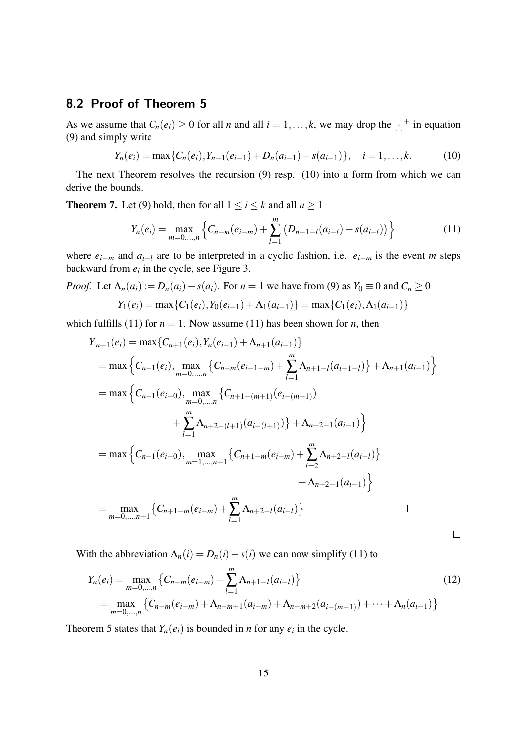### 8.2 Proof of Theorem 5

As we assume that  $C_n(e_i) \ge 0$  for all *n* and all  $i = 1, \ldots, k$ , we may drop the  $[\cdot]^+$  in equation (9) and simply write

$$
Y_n(e_i) = \max\{C_n(e_i), Y_{n-1}(e_{i-1}) + D_n(a_{i-1}) - s(a_{i-1})\}, \quad i = 1, ..., k.
$$
 (10)

The next Theorem resolves the recursion (9) resp. (10) into a form from which we can derive the bounds.

**Theorem 7.** Let (9) hold, then for all  $1 \le i \le k$  and all  $n \ge 1$ 

$$
Y_n(e_i) = \max_{m=0,\dots,n} \left\{ C_{n-m}(e_{i-m}) + \sum_{l=1}^m \left( D_{n+1-l}(a_{i-l}) - s(a_{i-l}) \right) \right\}
$$
(11)

where  $e_{i-m}$  and  $a_{i-1}$  are to be interpreted in a cyclic fashion, i.e.  $e_{i-m}$  is the event *m* steps backward from *e<sup>i</sup>* in the cycle, see Figure 3.

*Proof.* Let  $\Lambda_n(a_i) := D_n(a_i) - s(a_i)$ . For  $n = 1$  we have from (9) as  $Y_0 \equiv 0$  and  $C_n \ge 0$ 

$$
Y_1(e_i) = \max\{C_1(e_i), Y_0(e_{i-1}) + \Lambda_1(a_{i-1})\} = \max\{C_1(e_i), \Lambda_1(a_{i-1})\}
$$

which fulfills (11) for  $n = 1$ . Now assume (11) has been shown for *n*, then

$$
Y_{n+1}(e_i) = \max\{C_{n+1}(e_i), Y_n(e_{i-1}) + \Lambda_{n+1}(a_{i-1})\}
$$
  
\n
$$
= \max\left\{C_{n+1}(e_i), \max_{m=0,\dots,n}\left\{C_{n-m}(e_{i-1-m}) + \sum_{l=1}^m \Lambda_{n+1-l}(a_{i-1-l})\right\} + \Lambda_{n+1}(a_{i-1})\right\}
$$
  
\n
$$
= \max\left\{C_{n+1}(e_{i-0}), \max_{m=0,\dots,n}\left\{C_{n+1-(m+1)}(e_{i-(m+1)})\right\} + \sum_{l=1}^m \Lambda_{n+2-(l+1)}(a_{i-(l+1)})\right\} + \Lambda_{n+2-1}(a_{i-1})\right\}
$$
  
\n
$$
= \max\left\{C_{n+1}(e_{i-0}), \max_{m=1,\dots,n+1}\left\{C_{n+1-m}(e_{i-m}) + \sum_{l=2}^m \Lambda_{n+2-l}(a_{i-l})\right\} + \Lambda_{n+2-1}(a_{i-1})\right\}
$$
  
\n
$$
= \max_{m=0,\dots,n+1}\left\{C_{n+1-m}(e_{i-m}) + \sum_{l=1}^m \Lambda_{n+2-l}(a_{i-l})\right\}
$$

With the abbreviation  $\Lambda_n(i) = D_n(i) - s(i)$  we can now simplify (11) to

$$
Y_n(e_i) = \max_{m=0,\dots,n} \left\{ C_{n-m}(e_{i-m}) + \sum_{l=1}^m \Lambda_{n+1-l}(a_{i-l}) \right\}
$$
  
= 
$$
\max_{m=0,\dots,n} \left\{ C_{n-m}(e_{i-m}) + \Lambda_{n-m+1}(a_{i-m}) + \Lambda_{n-m+2}(a_{i-(m-1)}) + \dots + \Lambda_n(a_{i-1}) \right\}
$$
 (12)

 $\Box$ 

Theorem 5 states that  $Y_n(e_i)$  is bounded in *n* for any  $e_i$  in the cycle.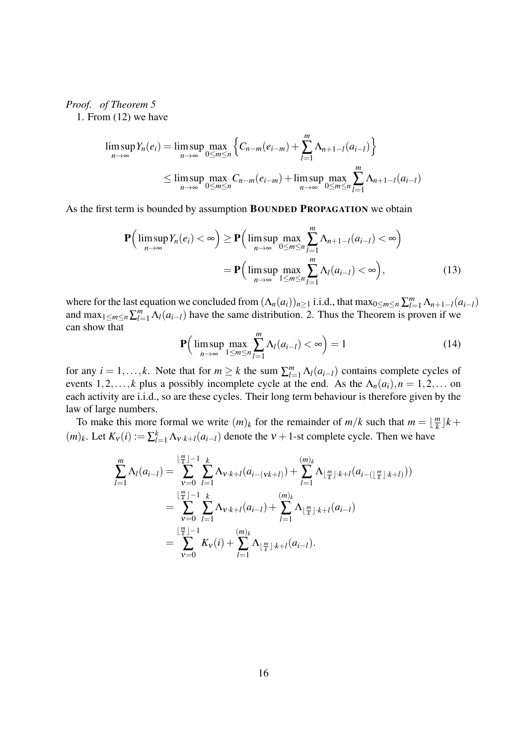*Proof. of Theorem 5*

1. From (12) we have

$$
\limsup_{n \to \infty} Y_n(e_i) = \limsup_{n \to \infty} \max_{0 \le m \le n} \left\{ C_{n-m}(e_{i-m}) + \sum_{l=1}^m \Lambda_{n+1-l}(a_{i-l}) \right\}
$$
  
\n
$$
\le \limsup_{n \to \infty} \max_{0 \le m \le n} C_{n-m}(e_{i-m}) + \limsup_{n \to \infty} \max_{0 \le m \le n} \sum_{l=1}^m \Lambda_{n+1-l}(a_{i-l})
$$

As the first term is bounded by assumption BOUNDED PROPAGATION we obtain

$$
\mathbf{P}\Big(\limsup_{n\to\infty}Y_n(e_i)<\infty\Big)\geq \mathbf{P}\Big(\limsup_{n\to\infty}\max_{0\leq m\leq n}\sum_{l=1}^m\Lambda_{n+1-l}(a_{i-l})<\infty\Big)\\ =\mathbf{P}\Big(\limsup_{n\to\infty}\max_{1\leq m\leq n}\sum_{l=1}^m\Lambda_l(a_{i-l})<\infty\Big),\tag{13}
$$

where for the last equation we concluded from  $(\Lambda_n(a_i))_{n \geq 1}$  i.i.d., that max $_{0 \leq m \leq n} \sum_{l=1}^m \Lambda_{n+1-l}(a_{i-l})$ and  $\max_{1 \leq m \leq n} \sum_{l=1}^{m} \Lambda_l(a_{i-l})$  have the same distribution. 2. Thus the Theorem is proven if we can show that

$$
\mathbf{P}\Big(\limsup_{n\to\infty}\max_{1\leq m\leq n}\sum_{l=1}^{m}\Lambda_l(a_{i-l})<\infty\Big)=1\tag{14}
$$

for any  $i = 1, ..., k$ . Note that for  $m \geq k$  the sum  $\sum_{l=1}^{m} \Lambda_l(a_{i-l})$  contains complete cycles of events 1,2,..., *k* plus a possibly incomplete cycle at the end. As the  $\Lambda_n(a_i)$ ,  $n = 1, 2, \ldots$  on each activity are i.i.d., so are these cycles. Their long term behaviour is therefore given by the law of large numbers.

To make this more formal we write  $(m)_k$  for the remainder of  $m/k$  such that  $m = \lfloor \frac{m}{k} \rfloor$  $\frac{m}{k}$ <sup> $\rfloor$ </sup> $k +$  $(m)_k$ . Let  $K_v(i) := \sum_{l=1}^k \Lambda_{v \cdot k+l}(a_{i-l})$  denote the  $v + 1$ -st complete cycle. Then we have

$$
\sum_{l=1}^{m} \Lambda_{l}(a_{i-l}) = \sum_{v=0}^{\lfloor \frac{m}{k} \rfloor - 1} \sum_{l=1}^{k} \Lambda_{v \cdot k + l}(a_{i-(vk+l)}) + \sum_{l=1}^{(m)_{k}} \Lambda_{\lfloor \frac{m}{k} \rfloor \cdot k + l}(a_{i-(\lfloor \frac{m}{k} \rfloor \cdot k + l}))
$$
\n
$$
= \sum_{v=0}^{\lfloor \frac{m}{k} \rfloor - 1} \sum_{l=1}^{k} \Lambda_{v \cdot k + l}(a_{i-l}) + \sum_{l=1}^{(m)_{k}} \Lambda_{\lfloor \frac{m}{k} \rfloor \cdot k + l}(a_{i-l})
$$
\n
$$
= \sum_{v=0}^{\lfloor \frac{m}{k} \rfloor - 1} K_{v}(i) + \sum_{l=1}^{(m)_{k}} \Lambda_{\lfloor \frac{m}{k} \rfloor \cdot k + l}(a_{i-l}).
$$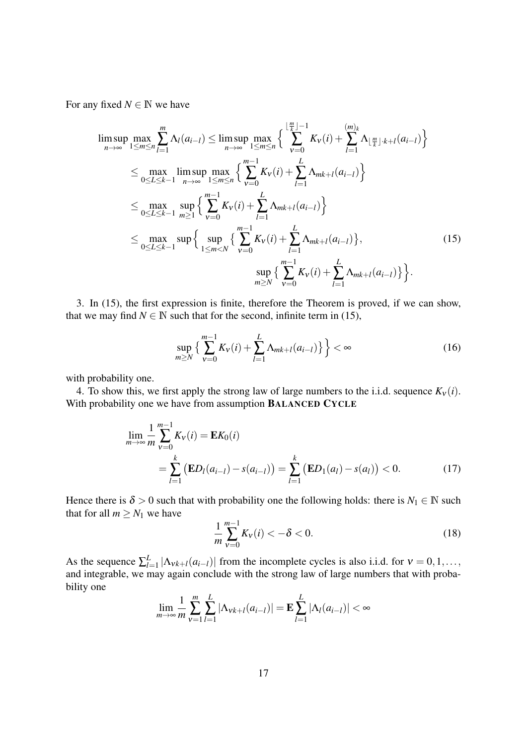For any fixed  $N \in \mathbb{N}$  we have

$$
\limsup_{n \to \infty} \max_{1 \le m \le n} \sum_{l=1}^{m} \Lambda_{l}(a_{i-l}) \le \limsup_{n \to \infty} \max_{1 \le m \le n} \left\{ \sum_{\nu=0}^{\lfloor \frac{m}{k} \rfloor - 1} K_{\nu}(i) + \sum_{l=1}^{(m)_{k}} \Lambda_{\lfloor \frac{m}{k} \rfloor \cdot k + l}(a_{i-l}) \right\}
$$
\n
$$
\le \max_{0 \le L \le k-1} \limsup_{n \to \infty} \max_{1 \le m \le n} \left\{ \sum_{\nu=0}^{m-1} K_{\nu}(i) + \sum_{l=1}^{L} \Lambda_{mk+l}(a_{i-l}) \right\}
$$
\n
$$
\le \max_{0 \le L \le k-1} \sup_{m \ge 1} \left\{ \sum_{\nu=0}^{m-1} K_{\nu}(i) + \sum_{l=1}^{L} \Lambda_{mk+l}(a_{i-l}) \right\}
$$
\n
$$
\le \max_{0 \le L \le k-1} \sup \left\{ \sup_{1 \le m < N} \left\{ \sum_{\nu=0}^{m-1} K_{\nu}(i) + \sum_{l=1}^{L} \Lambda_{mk+l}(a_{i-l}) \right\}, \right\}
$$
\n
$$
\le \sup_{m \ge N} \left\{ \sum_{\nu=0}^{m-1} K_{\nu}(i) + \sum_{l=1}^{L} \Lambda_{mk+l}(a_{i-l}) \right\}, \right\}.
$$
\n(15)

3. In (15), the first expression is finite, therefore the Theorem is proved, if we can show, that we may find  $N \in \mathbb{N}$  such that for the second, infinite term in (15),

$$
\sup_{m \ge N} \left\{ \sum_{\nu=0}^{m-1} K_{\nu}(i) + \sum_{l=1}^{L} \Lambda_{mk+l}(a_{i-l}) \right\} \right\} < \infty
$$
\n(16)

with probability one.

4. To show this, we first apply the strong law of large numbers to the i.i.d. sequence  $K_v(i)$ . With probability one we have from assumption BALANCED CYCLE

$$
\lim_{m \to \infty} \frac{1}{m} \sum_{v=0}^{m-1} K_v(i) = \mathbf{E} K_0(i)
$$
  
= 
$$
\sum_{l=1}^{k} (\mathbf{E} D_l(a_{i-l}) - s(a_{i-l})) = \sum_{l=1}^{k} (\mathbf{E} D_1(a_l) - s(a_l)) < 0.
$$
 (17)

Hence there is  $\delta > 0$  such that with probability one the following holds: there is  $N_1 \in \mathbb{N}$  such that for all  $m \geq N_1$  we have

$$
\frac{1}{m}\sum_{v=0}^{m-1}K_v(i) < -\delta < 0.
$$
\n(18)

As the sequence  $\sum_{l=1}^{L}$  $\frac{L}{l=1} |\Lambda_{vk+l}(a_{i-l})|$  from the incomplete cycles is also i.i.d. for  $v = 0, 1, \ldots$ , and integrable, we may again conclude with the strong law of large numbers that with probability one

$$
\lim_{m \to \infty} \frac{1}{m} \sum_{v=1}^{m} \sum_{l=1}^{L} |\Lambda_{vk+l}(a_{i-l})| = \mathbf{E} \sum_{l=1}^{L} |\Lambda_l(a_{i-l})| < \infty
$$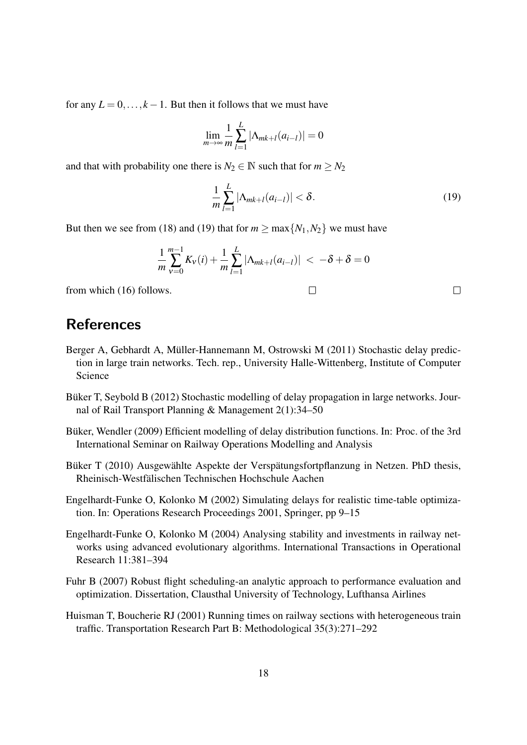for any  $L = 0, \ldots, k - 1$ . But then it follows that we must have

$$
\lim_{m \to \infty} \frac{1}{m} \sum_{l=1}^{L} |\Lambda_{mk+l}(a_{i-l})| = 0
$$

and that with probability one there is  $N_2 \in \mathbb{N}$  such that for  $m \geq N_2$ 

$$
\frac{1}{m}\sum_{l=1}^{L}|\Lambda_{mk+l}(a_{i-l})|<\delta.\tag{19}
$$

 $\Box$ 

 $\Box$ 

But then we see from (18) and (19) that for  $m \ge \max\{N_1, N_2\}$  we must have

$$
\frac{1}{m}\sum_{v=0}^{m-1}K_v(i) + \frac{1}{m}\sum_{l=1}^{L}|\Lambda_{mk+l}(a_{i-l})| < -\delta + \delta = 0
$$

from which (16) follows.

## References

- Berger A, Gebhardt A, Müller-Hannemann M, Ostrowski M (2011) Stochastic delay prediction in large train networks. Tech. rep., University Halle-Wittenberg, Institute of Computer Science
- Büker T, Seybold B (2012) Stochastic modelling of delay propagation in large networks. Journal of Rail Transport Planning & Management 2(1):34–50
- Büker, Wendler (2009) Efficient modelling of delay distribution functions. In: Proc. of the 3rd International Seminar on Railway Operations Modelling and Analysis
- Büker T (2010) Ausgewählte Aspekte der Verspätungsfortpflanzung in Netzen. PhD thesis, Rheinisch-Westfalischen Technischen Hochschule Aachen ¨
- Engelhardt-Funke O, Kolonko M (2002) Simulating delays for realistic time-table optimization. In: Operations Research Proceedings 2001, Springer, pp 9–15
- Engelhardt-Funke O, Kolonko M (2004) Analysing stability and investments in railway networks using advanced evolutionary algorithms. International Transactions in Operational Research 11:381–394
- Fuhr B (2007) Robust flight scheduling-an analytic approach to performance evaluation and optimization. Dissertation, Clausthal University of Technology, Lufthansa Airlines
- Huisman T, Boucherie RJ (2001) Running times on railway sections with heterogeneous train traffic. Transportation Research Part B: Methodological 35(3):271–292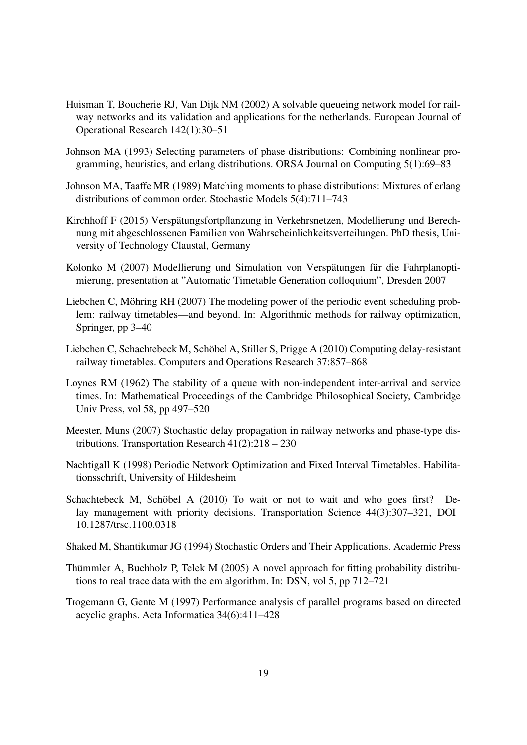- Huisman T, Boucherie RJ, Van Dijk NM (2002) A solvable queueing network model for railway networks and its validation and applications for the netherlands. European Journal of Operational Research 142(1):30–51
- Johnson MA (1993) Selecting parameters of phase distributions: Combining nonlinear programming, heuristics, and erlang distributions. ORSA Journal on Computing 5(1):69–83
- Johnson MA, Taaffe MR (1989) Matching moments to phase distributions: Mixtures of erlang distributions of common order. Stochastic Models 5(4):711–743
- Kirchhoff F (2015) Verspätungsfortpflanzung in Verkehrsnetzen, Modellierung und Berechnung mit abgeschlossenen Familien von Wahrscheinlichkeitsverteilungen. PhD thesis, University of Technology Claustal, Germany
- Kolonko M (2007) Modellierung und Simulation von Verspätungen für die Fahrplanoptimierung, presentation at "Automatic Timetable Generation colloquium", Dresden 2007
- Liebchen C, Möhring RH (2007) The modeling power of the periodic event scheduling problem: railway timetables—and beyond. In: Algorithmic methods for railway optimization, Springer, pp 3–40
- Liebchen C, Schachtebeck M, Schöbel A, Stiller S, Prigge A (2010) Computing delay-resistant railway timetables. Computers and Operations Research 37:857–868
- Loynes RM (1962) The stability of a queue with non-independent inter-arrival and service times. In: Mathematical Proceedings of the Cambridge Philosophical Society, Cambridge Univ Press, vol 58, pp 497–520
- Meester, Muns (2007) Stochastic delay propagation in railway networks and phase-type distributions. Transportation Research 41(2):218 – 230
- Nachtigall K (1998) Periodic Network Optimization and Fixed Interval Timetables. Habilitationsschrift, University of Hildesheim
- Schachtebeck M, Schöbel A (2010) To wait or not to wait and who goes first? Delay management with priority decisions. Transportation Science 44(3):307–321, DOI 10.1287/trsc.1100.0318
- Shaked M, Shantikumar JG (1994) Stochastic Orders and Their Applications. Academic Press
- Thümmler A, Buchholz P, Telek M (2005) A novel approach for fitting probability distributions to real trace data with the em algorithm. In: DSN, vol 5, pp 712–721
- Trogemann G, Gente M (1997) Performance analysis of parallel programs based on directed acyclic graphs. Acta Informatica 34(6):411–428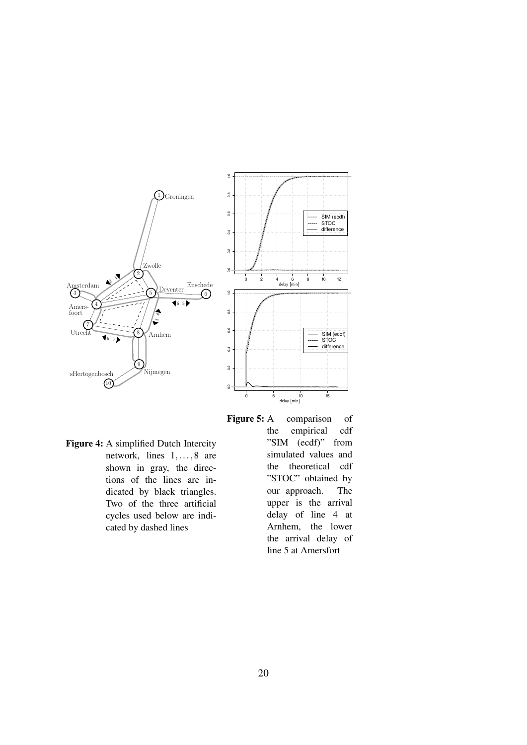

Figure 4: A simplified Dutch Intercity network, lines 1,...,8 are shown in gray, the directions of the lines are indicated by black triangles. Two of the three artificial cycles used below are indicated by dashed lines

Figure 5: A comparison of the empirical cdf "SIM (ecdf)" from simulated values and the theoretical cdf "STOC" obtained by our approach. The upper is the arrival delay of line 4 at Arnhem, the lower the arrival delay of line 5 at Amersfort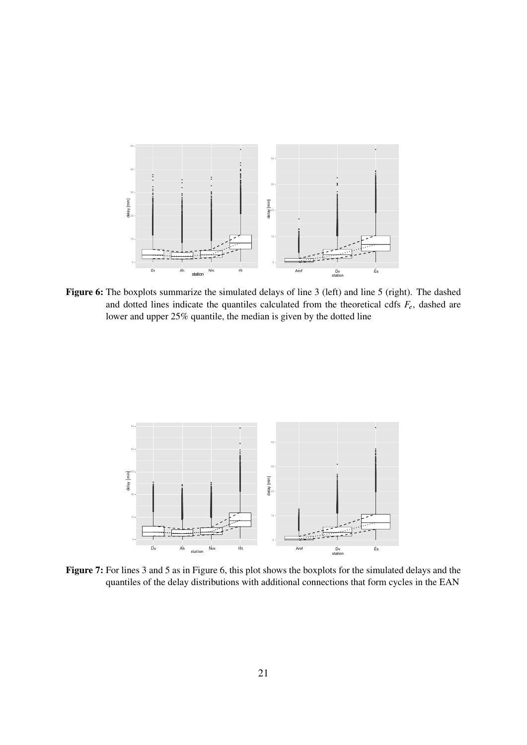

Figure 6: The boxplots summarize the simulated delays of line 3 (left) and line 5 (right). The dashed and dotted lines indicate the quantiles calculated from the theoretical cdfs  $F_e$ , dashed are lower and upper 25% quantile, the median is given by the dotted line



Figure 7: For lines 3 and 5 as in Figure 6, this plot shows the boxplots for the simulated delays and the quantiles of the delay distributions with additional connections that form cycles in the EAN